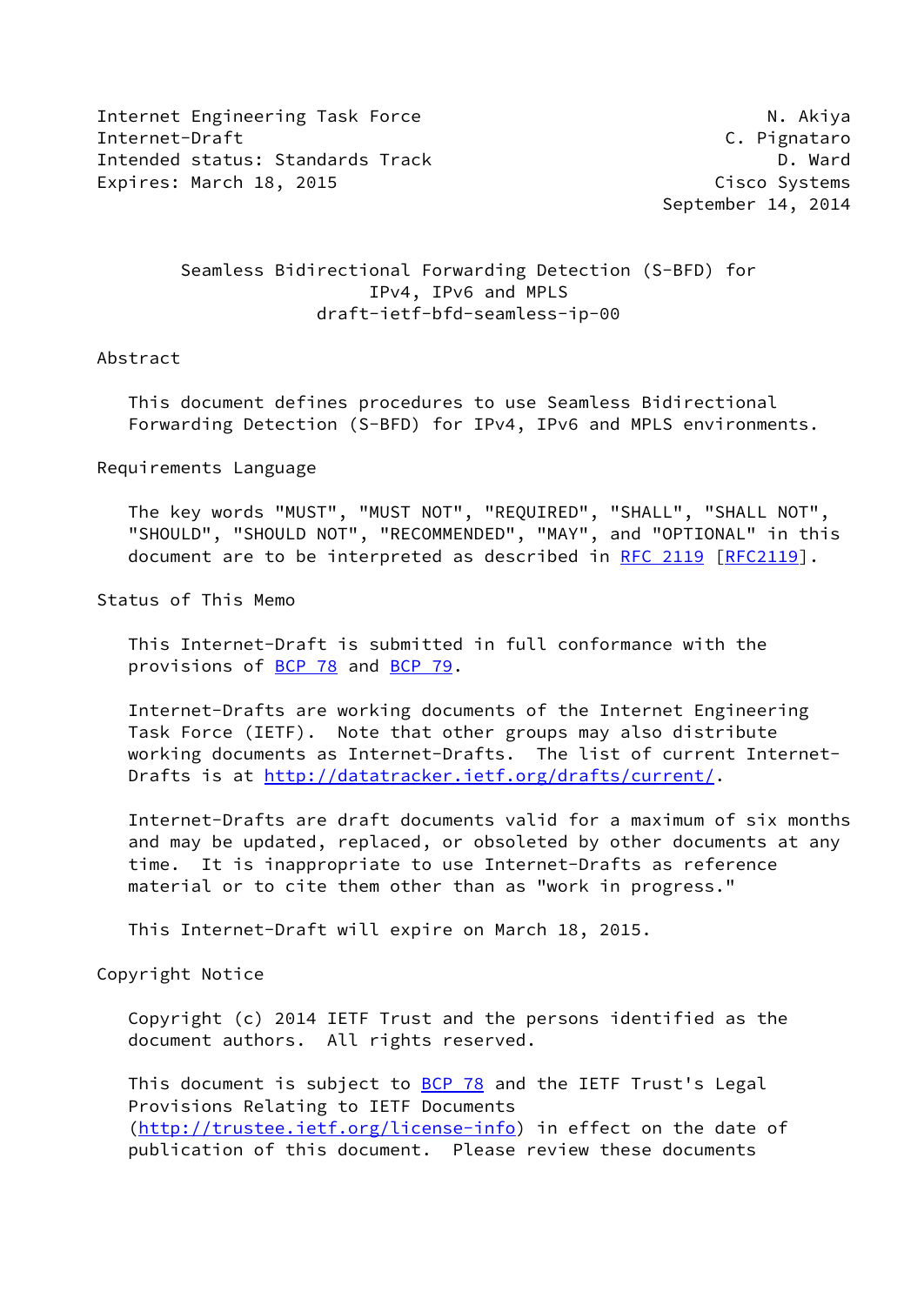Internet Engineering Task Force N. Akiya Internet-Draft C. Pignataro Intended status: Standards Track D. Ward Expires: March 18, 2015 **Cisco Systems** 

September 14, 2014

 Seamless Bidirectional Forwarding Detection (S-BFD) for IPv4, IPv6 and MPLS draft-ietf-bfd-seamless-ip-00

## Abstract

 This document defines procedures to use Seamless Bidirectional Forwarding Detection (S-BFD) for IPv4, IPv6 and MPLS environments.

Requirements Language

 The key words "MUST", "MUST NOT", "REQUIRED", "SHALL", "SHALL NOT", "SHOULD", "SHOULD NOT", "RECOMMENDED", "MAY", and "OPTIONAL" in this document are to be interpreted as described in [RFC 2119 \[RFC2119](https://datatracker.ietf.org/doc/pdf/rfc2119)].

Status of This Memo

 This Internet-Draft is submitted in full conformance with the provisions of [BCP 78](https://datatracker.ietf.org/doc/pdf/bcp78) and [BCP 79](https://datatracker.ietf.org/doc/pdf/bcp79).

 Internet-Drafts are working documents of the Internet Engineering Task Force (IETF). Note that other groups may also distribute working documents as Internet-Drafts. The list of current Internet- Drafts is at<http://datatracker.ietf.org/drafts/current/>.

 Internet-Drafts are draft documents valid for a maximum of six months and may be updated, replaced, or obsoleted by other documents at any time. It is inappropriate to use Internet-Drafts as reference material or to cite them other than as "work in progress."

This Internet-Draft will expire on March 18, 2015.

Copyright Notice

 Copyright (c) 2014 IETF Trust and the persons identified as the document authors. All rights reserved.

This document is subject to **[BCP 78](https://datatracker.ietf.org/doc/pdf/bcp78)** and the IETF Trust's Legal Provisions Relating to IETF Documents [\(http://trustee.ietf.org/license-info](http://trustee.ietf.org/license-info)) in effect on the date of publication of this document. Please review these documents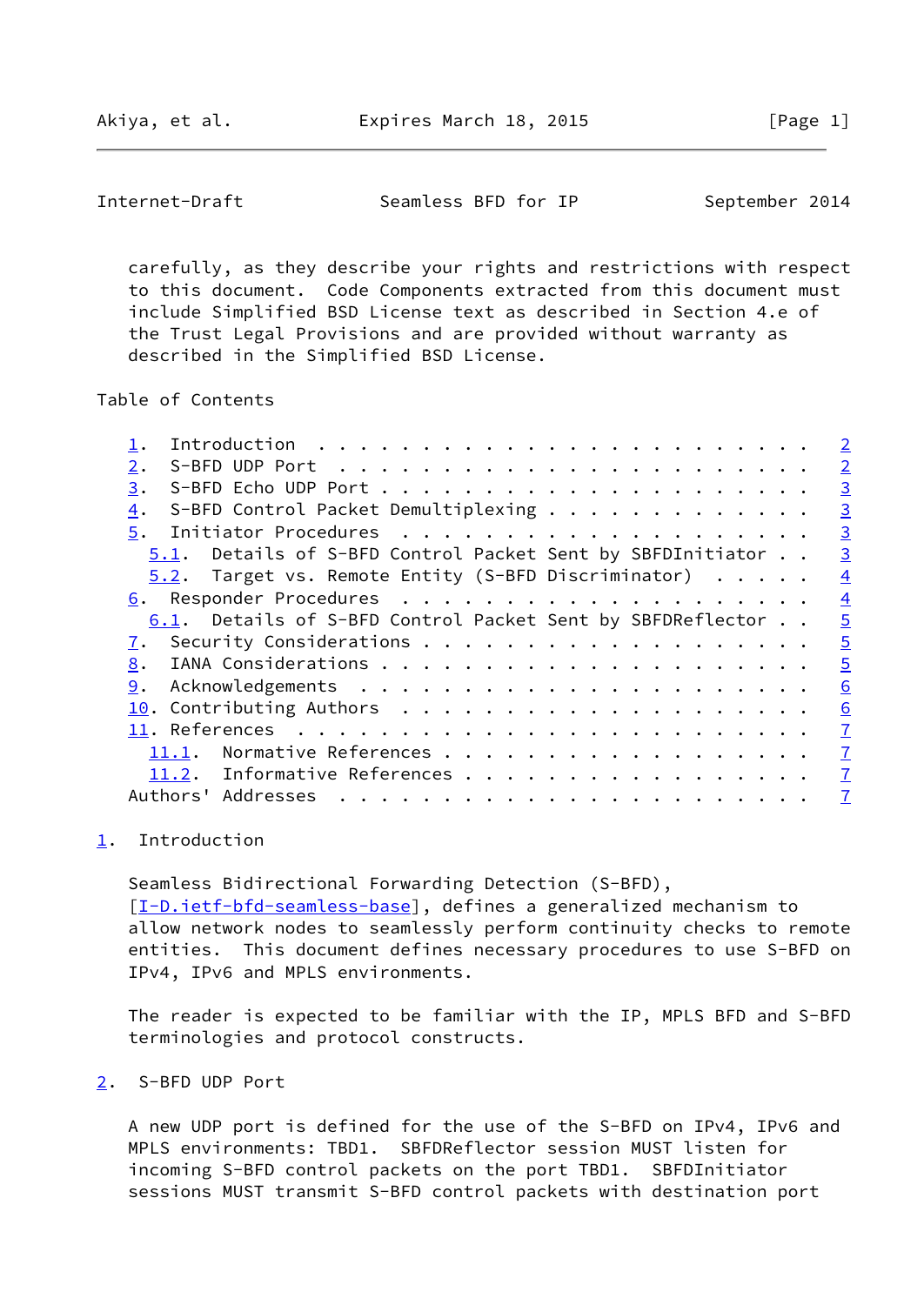<span id="page-1-1"></span>Internet-Draft Seamless BFD for IP September 2014

 carefully, as they describe your rights and restrictions with respect to this document. Code Components extracted from this document must include Simplified BSD License text as described in Section 4.e of the Trust Legal Provisions and are provided without warranty as described in the Simplified BSD License.

Table of Contents

|                                                            | $\overline{2}$ |
|------------------------------------------------------------|----------------|
| 2.                                                         | $\overline{2}$ |
| 3.                                                         | $\overline{3}$ |
| S-BFD Control Packet Demultiplexing<br>4.                  | $\overline{3}$ |
| 5.                                                         | $\overline{3}$ |
| 5.1. Details of S-BFD Control Packet Sent by SBFDInitiator | $\overline{3}$ |
| 5.2. Target vs. Remote Entity (S-BFD Discriminator)        | $\overline{4}$ |
|                                                            | $\overline{4}$ |
| 6.1. Details of S-BFD Control Packet Sent by SBFDReflector | $\overline{5}$ |
| 7.                                                         | $\overline{5}$ |
| 8.                                                         | $\overline{5}$ |
| 9.                                                         | 6              |
|                                                            | 6              |
|                                                            | $\overline{1}$ |
| Normative References<br>11.1.                              | $\overline{1}$ |
| 11.2. Informative References                               | $\overline{1}$ |
| Authors' Addresses                                         | $\overline{1}$ |
|                                                            |                |

## <span id="page-1-0"></span>[1](#page-1-0). Introduction

 Seamless Bidirectional Forwarding Detection (S-BFD), [\[I-D.ietf-bfd-seamless-base\]](#page-7-1), defines a generalized mechanism to allow network nodes to seamlessly perform continuity checks to remote entities. This document defines necessary procedures to use S-BFD on IPv4, IPv6 and MPLS environments.

 The reader is expected to be familiar with the IP, MPLS BFD and S-BFD terminologies and protocol constructs.

<span id="page-1-2"></span>[2](#page-1-2). S-BFD UDP Port

 A new UDP port is defined for the use of the S-BFD on IPv4, IPv6 and MPLS environments: TBD1. SBFDReflector session MUST listen for incoming S-BFD control packets on the port TBD1. SBFDInitiator sessions MUST transmit S-BFD control packets with destination port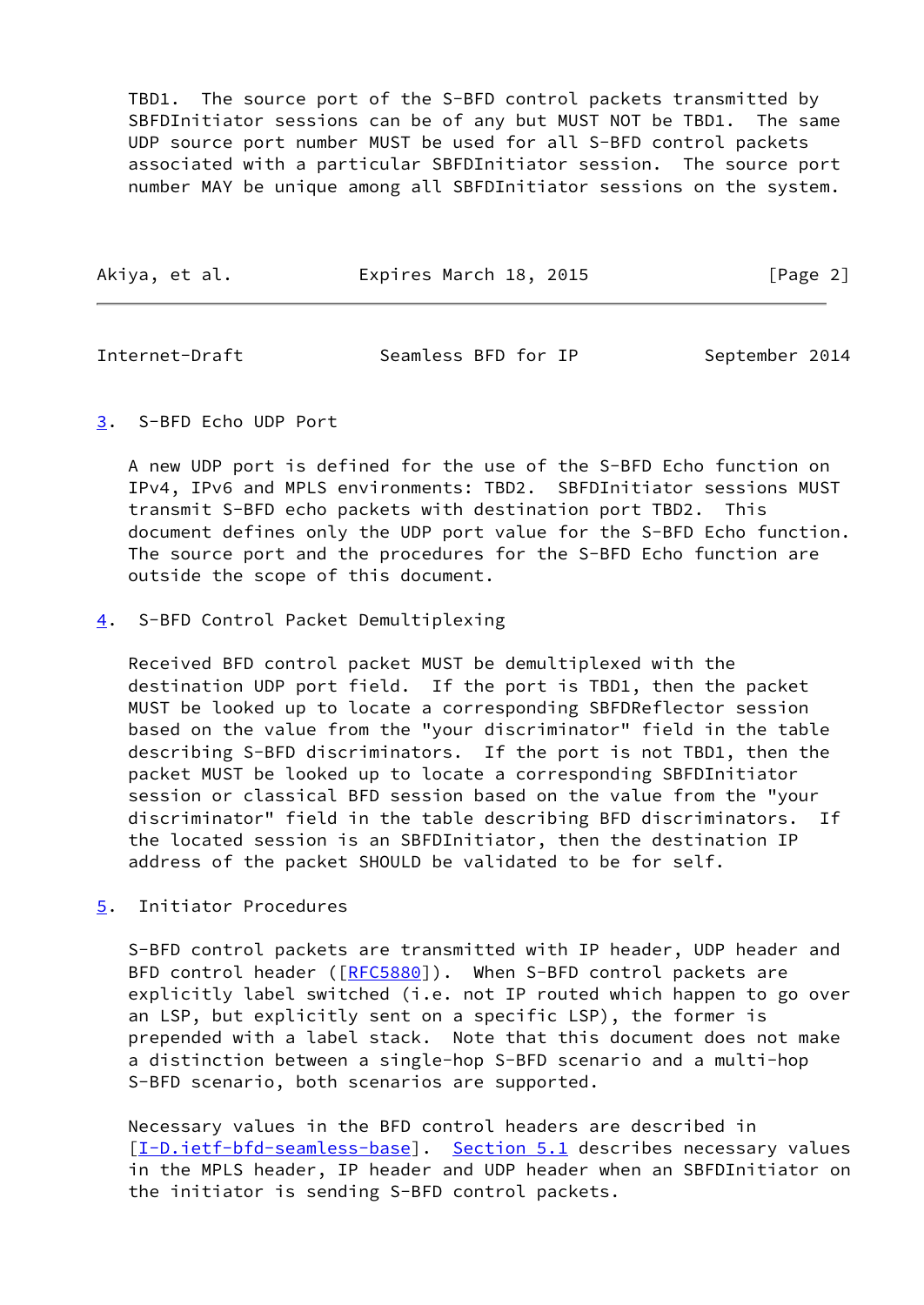TBD1. The source port of the S-BFD control packets transmitted by SBFDInitiator sessions can be of any but MUST NOT be TBD1. The same UDP source port number MUST be used for all S-BFD control packets associated with a particular SBFDInitiator session. The source port number MAY be unique among all SBFDInitiator sessions on the system.

<span id="page-2-1"></span>Internet-Draft Seamless BFD for IP September 2014

<span id="page-2-0"></span>[3](#page-2-0). S-BFD Echo UDP Port

 A new UDP port is defined for the use of the S-BFD Echo function on IPv4, IPv6 and MPLS environments: TBD2. SBFDInitiator sessions MUST transmit S-BFD echo packets with destination port TBD2. This document defines only the UDP port value for the S-BFD Echo function. The source port and the procedures for the S-BFD Echo function are outside the scope of this document.

<span id="page-2-2"></span>[4](#page-2-2). S-BFD Control Packet Demultiplexing

 Received BFD control packet MUST be demultiplexed with the destination UDP port field. If the port is TBD1, then the packet MUST be looked up to locate a corresponding SBFDReflector session based on the value from the "your discriminator" field in the table describing S-BFD discriminators. If the port is not TBD1, then the packet MUST be looked up to locate a corresponding SBFDInitiator session or classical BFD session based on the value from the "your discriminator" field in the table describing BFD discriminators. If the located session is an SBFDInitiator, then the destination IP address of the packet SHOULD be validated to be for self.

<span id="page-2-3"></span>[5](#page-2-3). Initiator Procedures

 S-BFD control packets are transmitted with IP header, UDP header and BFD control header ([\[RFC5880](https://datatracker.ietf.org/doc/pdf/rfc5880)]). When S-BFD control packets are explicitly label switched (i.e. not IP routed which happen to go over an LSP, but explicitly sent on a specific LSP), the former is prepended with a label stack. Note that this document does not make a distinction between a single-hop S-BFD scenario and a multi-hop S-BFD scenario, both scenarios are supported.

 Necessary values in the BFD control headers are described in [\[I-D.ietf-bfd-seamless-base\]](#page-7-1). [Section 5.1](#page-3-0) describes necessary values in the MPLS header, IP header and UDP header when an SBFDInitiator on the initiator is sending S-BFD control packets.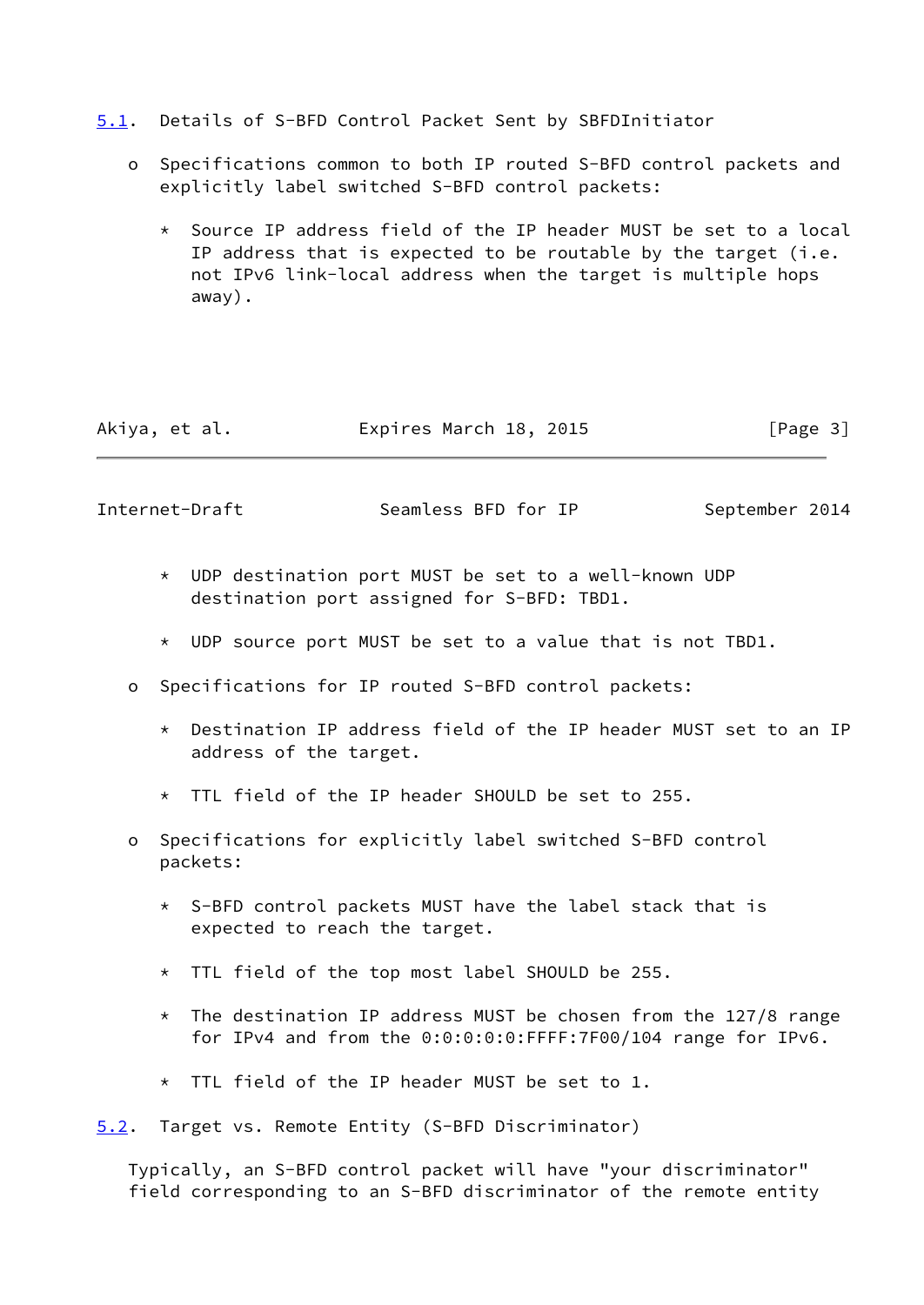- <span id="page-3-0"></span>[5.1](#page-3-0). Details of S-BFD Control Packet Sent by SBFDInitiator
	- o Specifications common to both IP routed S-BFD control packets and explicitly label switched S-BFD control packets:
		- \* Source IP address field of the IP header MUST be set to a local IP address that is expected to be routable by the target (i.e. not IPv6 link-local address when the target is multiple hops away).

| Akiya, et al. | Expires March 18, 2015 | [Page 3] |
|---------------|------------------------|----------|
|---------------|------------------------|----------|

<span id="page-3-2"></span>Internet-Draft Seamless BFD for IP September 2014

- \* UDP destination port MUST be set to a well-known UDP destination port assigned for S-BFD: TBD1.
- \* UDP source port MUST be set to a value that is not TBD1.
- o Specifications for IP routed S-BFD control packets:
	- \* Destination IP address field of the IP header MUST set to an IP address of the target.
	- \* TTL field of the IP header SHOULD be set to 255.
- o Specifications for explicitly label switched S-BFD control packets:
	- \* S-BFD control packets MUST have the label stack that is expected to reach the target.
	- \* TTL field of the top most label SHOULD be 255.
	- $*$  The destination IP address MUST be chosen from the 127/8 range for IPv4 and from the 0:0:0:0:0:FFFF:7F00/104 range for IPv6.
	- \* TTL field of the IP header MUST be set to 1.
- <span id="page-3-1"></span>[5.2](#page-3-1). Target vs. Remote Entity (S-BFD Discriminator)

 Typically, an S-BFD control packet will have "your discriminator" field corresponding to an S-BFD discriminator of the remote entity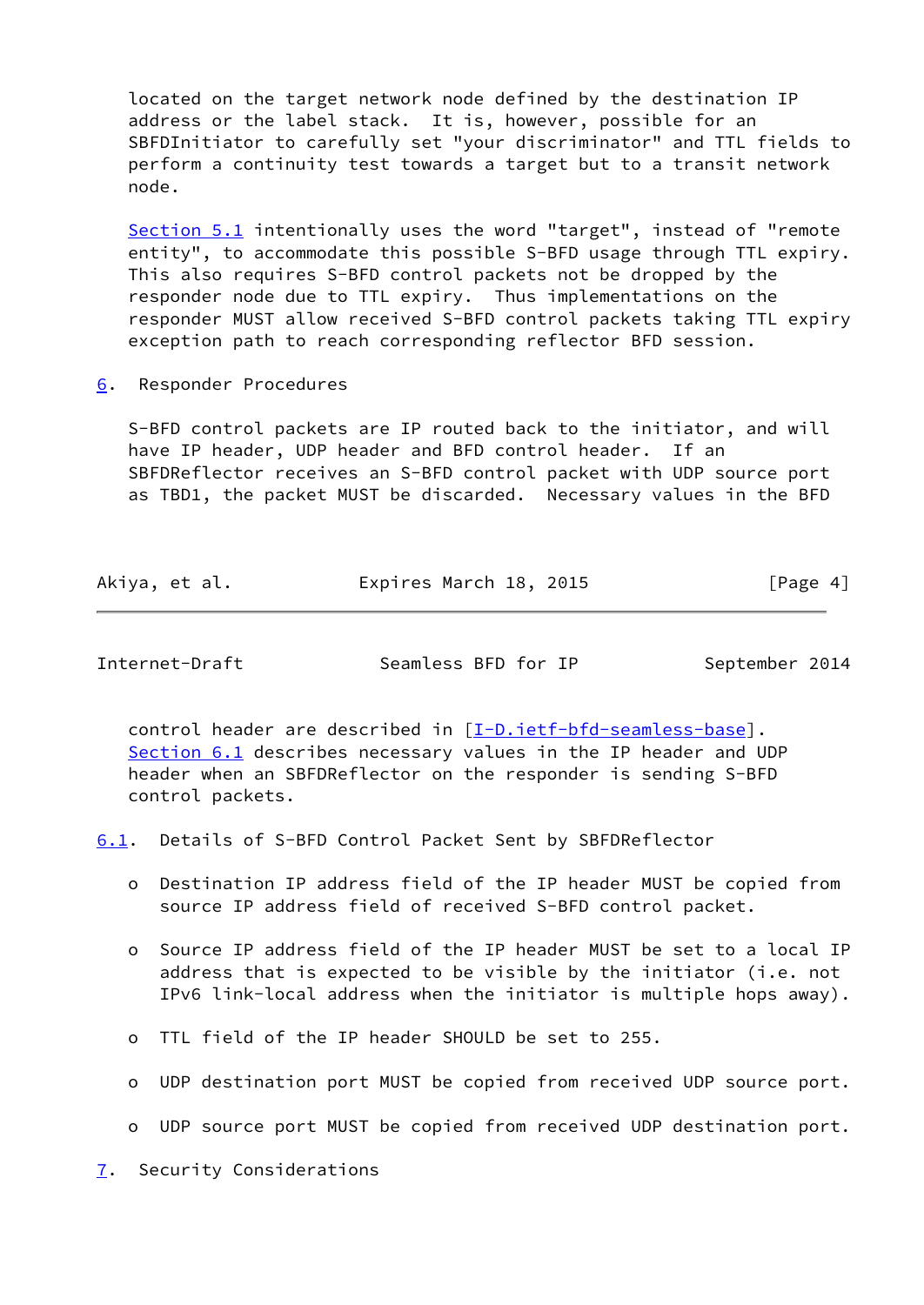located on the target network node defined by the destination IP address or the label stack. It is, however, possible for an SBFDInitiator to carefully set "your discriminator" and TTL fields to perform a continuity test towards a target but to a transit network node.

 [Section 5.1](#page-3-0) intentionally uses the word "target", instead of "remote entity", to accommodate this possible S-BFD usage through TTL expiry. This also requires S-BFD control packets not be dropped by the responder node due to TTL expiry. Thus implementations on the responder MUST allow received S-BFD control packets taking TTL expiry exception path to reach corresponding reflector BFD session.

<span id="page-4-0"></span>[6](#page-4-0). Responder Procedures

 S-BFD control packets are IP routed back to the initiator, and will have IP header, UDP header and BFD control header. If an SBFDReflector receives an S-BFD control packet with UDP source port as TBD1, the packet MUST be discarded. Necessary values in the BFD

| Akiya, et al. | Expires March 18, 2015 | [Page 4] |
|---------------|------------------------|----------|
|---------------|------------------------|----------|

<span id="page-4-2"></span>Internet-Draft Seamless BFD for IP September 2014

 control header are described in [\[I-D.ietf-bfd-seamless-base\]](#page-7-1). [Section 6.1](#page-4-1) describes necessary values in the IP header and UDP header when an SBFDReflector on the responder is sending S-BFD control packets.

<span id="page-4-1"></span>[6.1](#page-4-1). Details of S-BFD Control Packet Sent by SBFDReflector

- o Destination IP address field of the IP header MUST be copied from source IP address field of received S-BFD control packet.
- o Source IP address field of the IP header MUST be set to a local IP address that is expected to be visible by the initiator (i.e. not IPv6 link-local address when the initiator is multiple hops away).
- o TTL field of the IP header SHOULD be set to 255.
- o UDP destination port MUST be copied from received UDP source port.
- o UDP source port MUST be copied from received UDP destination port.

<span id="page-4-3"></span>[7](#page-4-3). Security Considerations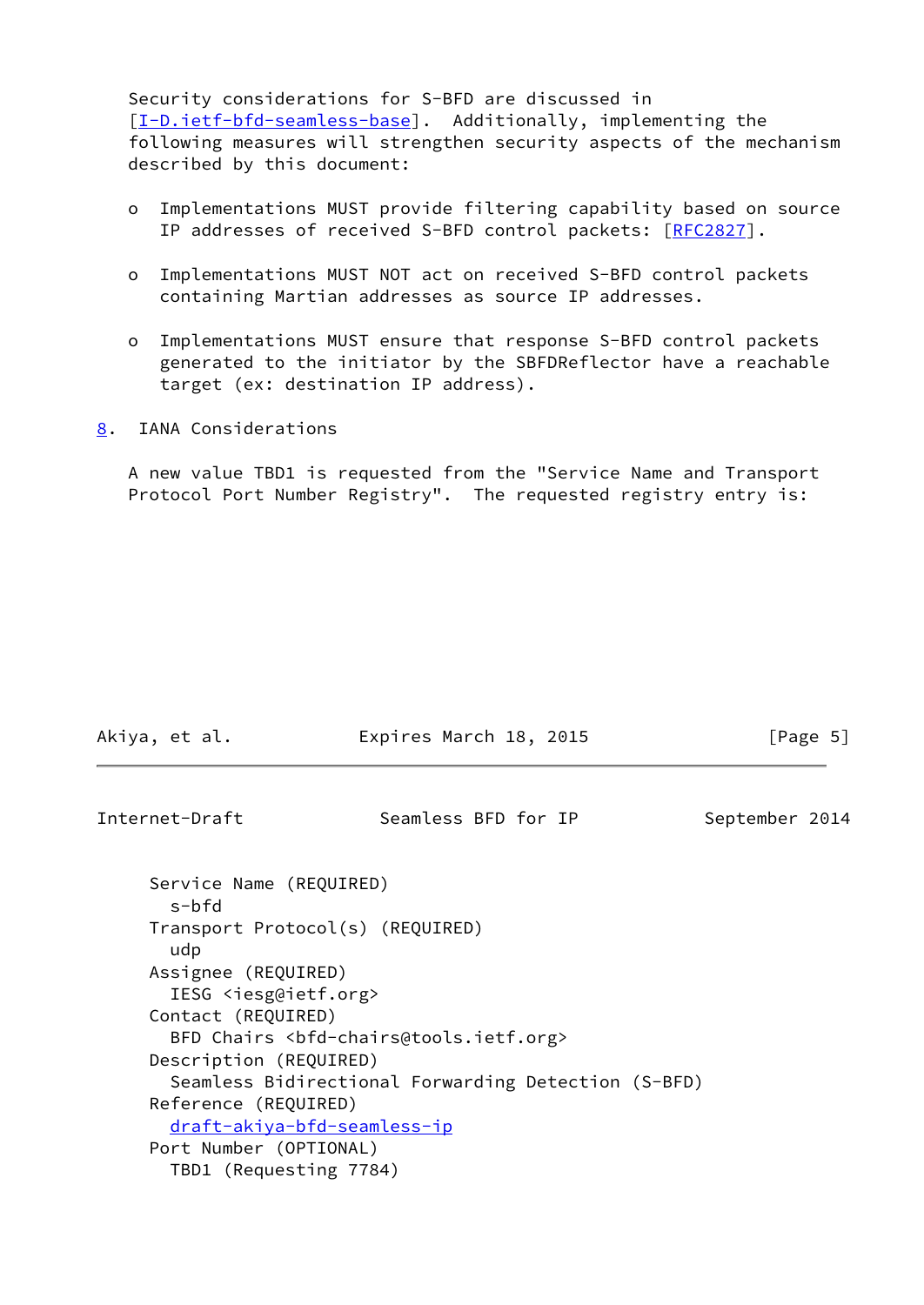Security considerations for S-BFD are discussed in [\[I-D.ietf-bfd-seamless-base\]](#page-7-1). Additionally, implementing the following measures will strengthen security aspects of the mechanism described by this document:

- o Implementations MUST provide filtering capability based on source IP addresses of received S-BFD control packets: [[RFC2827\]](https://datatracker.ietf.org/doc/pdf/rfc2827).
- o Implementations MUST NOT act on received S-BFD control packets containing Martian addresses as source IP addresses.
- o Implementations MUST ensure that response S-BFD control packets generated to the initiator by the SBFDReflector have a reachable target (ex: destination IP address).
- <span id="page-5-0"></span>[8](#page-5-0). IANA Considerations

 A new value TBD1 is requested from the "Service Name and Transport Protocol Port Number Registry". The requested registry entry is:

<span id="page-5-1"></span>

| Akiya, et al.                                               | Expires March 18, 2015                                             | [Page 5]       |
|-------------------------------------------------------------|--------------------------------------------------------------------|----------------|
| Internet-Draft                                              | Seamless BFD for IP                                                | September 2014 |
| Service Name (REQUIRED)<br>$s$ -bfd                         |                                                                    |                |
| Transport Protocol(s) (REQUIRED)<br>udp                     |                                                                    |                |
| Assignee (REQUIRED)<br>IESG <iesg@ietf.org></iesg@ietf.org> |                                                                    |                |
| Contact (REQUIRED)                                          | BFD Chairs <bfd-chairs@tools.ietf.org></bfd-chairs@tools.ietf.org> |                |
| Description (REQUIRED)                                      |                                                                    |                |
|                                                             | Seamless Bidirectional Forwarding Detection (S-BFD)                |                |
| Reference (REQUIRED)                                        |                                                                    |                |
| draft-akiya-bfd-seamless-ip                                 |                                                                    |                |
| Port Number (OPTIONAL)                                      |                                                                    |                |
| TBD1 (Requesting 7784)                                      |                                                                    |                |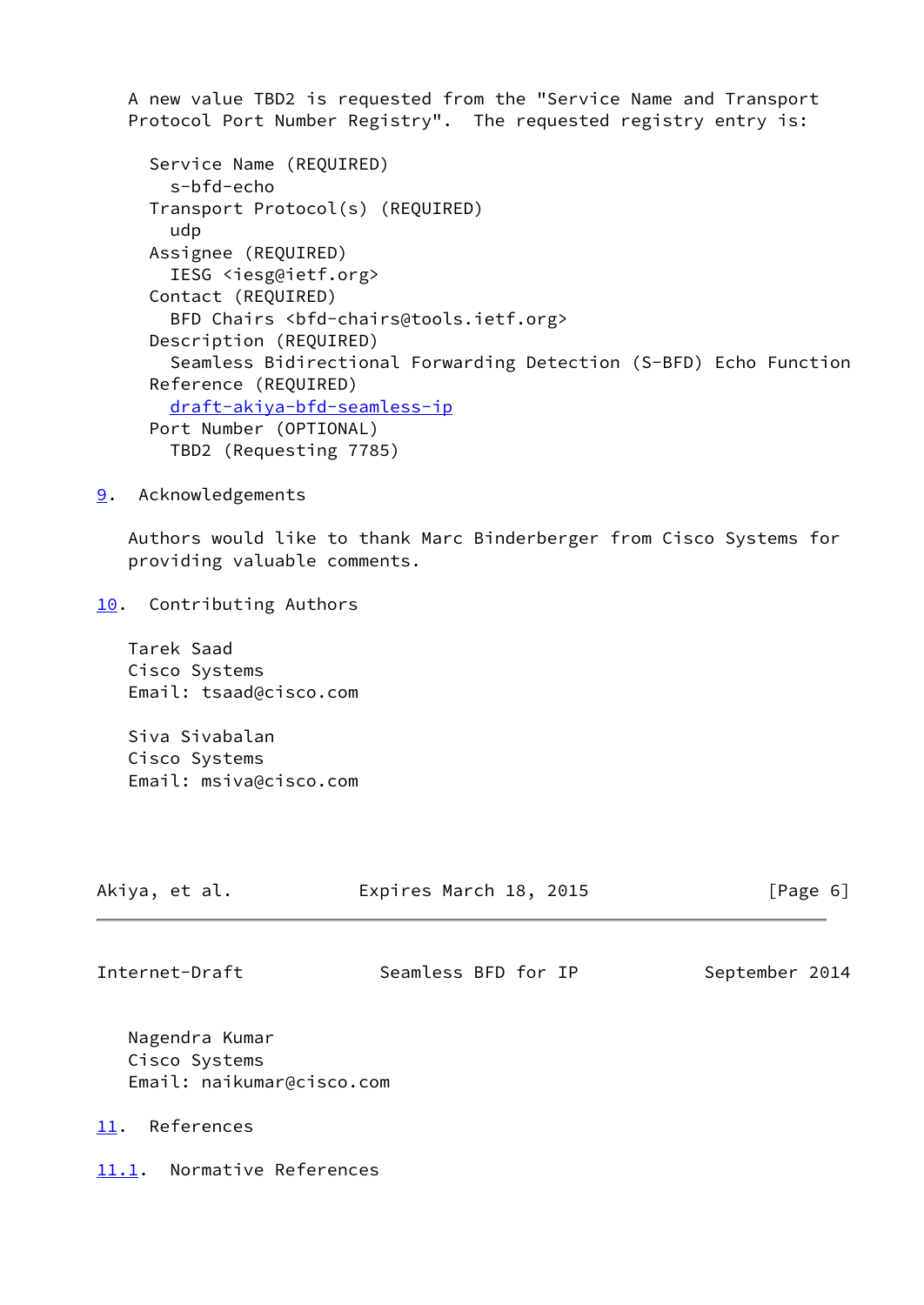A new value TBD2 is requested from the "Service Name and Transport Protocol Port Number Registry". The requested registry entry is:

```
 Service Name (REQUIRED)
  s-bfd-echo
Transport Protocol(s) (REQUIRED)
  udp
Assignee (REQUIRED)
  IESG <iesg@ietf.org>
Contact (REQUIRED)
  BFD Chairs <bfd-chairs@tools.ietf.org>
Description (REQUIRED)
  Seamless Bidirectional Forwarding Detection (S-BFD) Echo Function
Reference (REQUIRED)
  draft-akiya-bfd-seamless-ip
Port Number (OPTIONAL)
  TBD2 (Requesting 7785)
```
<span id="page-6-0"></span>[9](#page-6-0). Acknowledgements

 Authors would like to thank Marc Binderberger from Cisco Systems for providing valuable comments.

<span id="page-6-1"></span>[10.](#page-6-1) Contributing Authors

 Tarek Saad Cisco Systems Email: tsaad@cisco.com

 Siva Sivabalan Cisco Systems Email: msiva@cisco.com

<span id="page-6-3"></span>

| Akiya, et al.  | Expires March 18, 2015 | [Page 6]       |
|----------------|------------------------|----------------|
| Internet-Draft | Seamless BFD for IP    | September 2014 |
| Norondro Kumor |                        |                |

 Nagendra Kumar Cisco Systems Email: naikumar@cisco.com

<span id="page-6-2"></span>[11.](#page-6-2) References

<span id="page-6-4"></span>[11.1](#page-6-4). Normative References